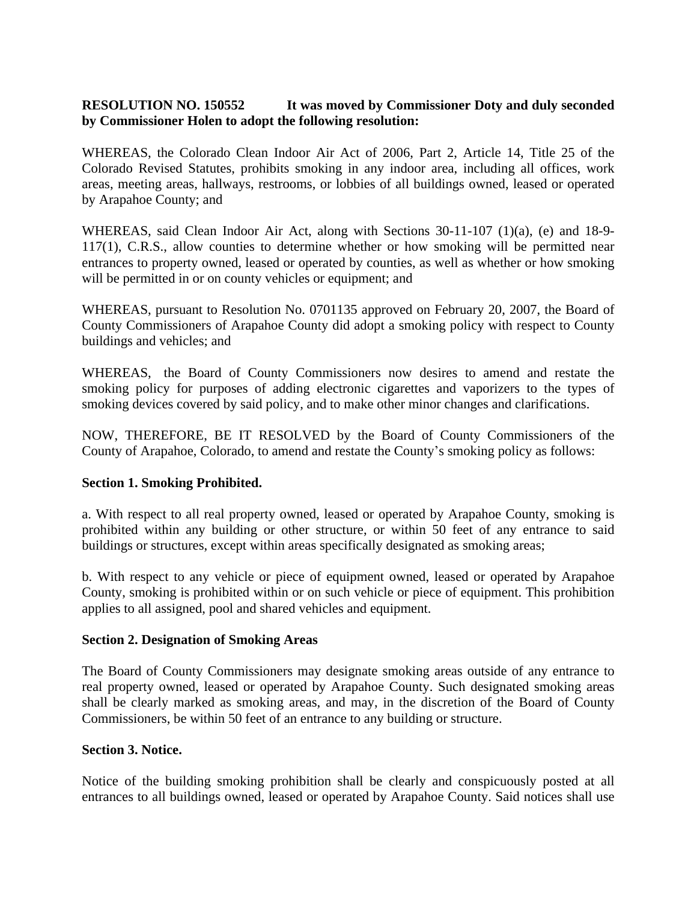# **RESOLUTION NO. 150552 It was moved by Commissioner Doty and duly seconded by Commissioner Holen to adopt the following resolution:**

WHEREAS, the Colorado Clean Indoor Air Act of 2006, Part 2, Article 14, Title 25 of the Colorado Revised Statutes, prohibits smoking in any indoor area, including all offices, work areas, meeting areas, hallways, restrooms, or lobbies of all buildings owned, leased or operated by Arapahoe County; and

WHEREAS, said Clean Indoor Air Act, along with Sections 30-11-107 (1)(a), (e) and 18-9- 117(1), C.R.S., allow counties to determine whether or how smoking will be permitted near entrances to property owned, leased or operated by counties, as well as whether or how smoking will be permitted in or on county vehicles or equipment; and

WHEREAS, pursuant to Resolution No. 0701135 approved on February 20, 2007, the Board of County Commissioners of Arapahoe County did adopt a smoking policy with respect to County buildings and vehicles; and

WHEREAS, the Board of County Commissioners now desires to amend and restate the smoking policy for purposes of adding electronic cigarettes and vaporizers to the types of smoking devices covered by said policy, and to make other minor changes and clarifications.

NOW, THEREFORE, BE IT RESOLVED by the Board of County Commissioners of the County of Arapahoe, Colorado, to amend and restate the County's smoking policy as follows:

## **Section 1. Smoking Prohibited.**

a. With respect to all real property owned, leased or operated by Arapahoe County, smoking is prohibited within any building or other structure, or within 50 feet of any entrance to said buildings or structures, except within areas specifically designated as smoking areas;

b. With respect to any vehicle or piece of equipment owned, leased or operated by Arapahoe County, smoking is prohibited within or on such vehicle or piece of equipment. This prohibition applies to all assigned, pool and shared vehicles and equipment.

## **Section 2. Designation of Smoking Areas**

The Board of County Commissioners may designate smoking areas outside of any entrance to real property owned, leased or operated by Arapahoe County. Such designated smoking areas shall be clearly marked as smoking areas, and may, in the discretion of the Board of County Commissioners, be within 50 feet of an entrance to any building or structure.

## **Section 3. Notice.**

Notice of the building smoking prohibition shall be clearly and conspicuously posted at all entrances to all buildings owned, leased or operated by Arapahoe County. Said notices shall use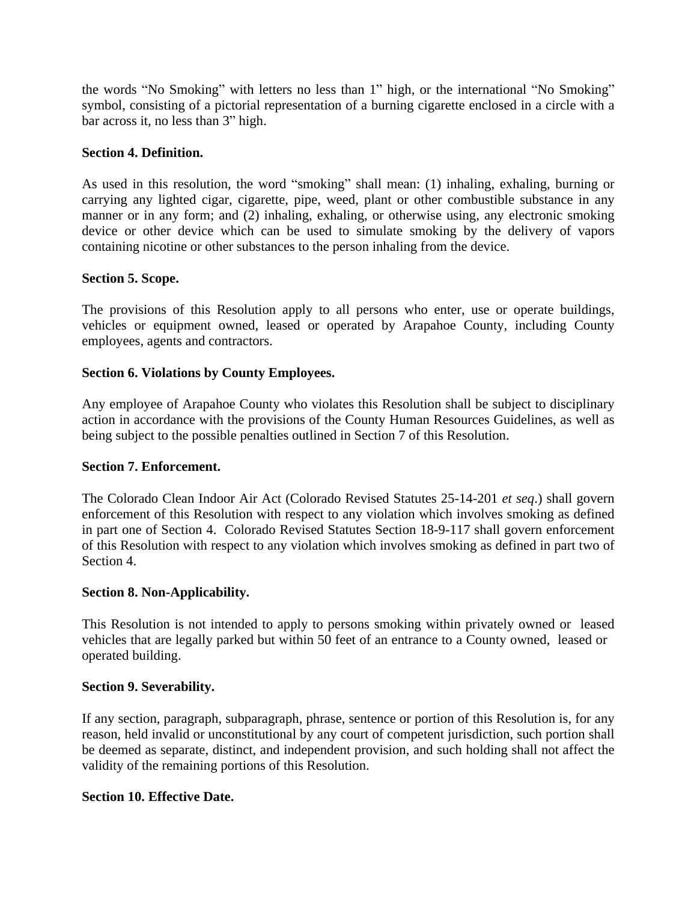the words "No Smoking" with letters no less than 1" high, or the international "No Smoking" symbol, consisting of a pictorial representation of a burning cigarette enclosed in a circle with a bar across it, no less than 3" high.

## **Section 4. Definition.**

As used in this resolution, the word "smoking" shall mean: (1) inhaling, exhaling, burning or carrying any lighted cigar, cigarette, pipe, weed, plant or other combustible substance in any manner or in any form; and (2) inhaling, exhaling, or otherwise using, any electronic smoking device or other device which can be used to simulate smoking by the delivery of vapors containing nicotine or other substances to the person inhaling from the device.

# **Section 5. Scope.**

The provisions of this Resolution apply to all persons who enter, use or operate buildings, vehicles or equipment owned, leased or operated by Arapahoe County, including County employees, agents and contractors.

# **Section 6. Violations by County Employees.**

Any employee of Arapahoe County who violates this Resolution shall be subject to disciplinary action in accordance with the provisions of the County Human Resources Guidelines, as well as being subject to the possible penalties outlined in Section 7 of this Resolution.

## **Section 7. Enforcement.**

The Colorado Clean Indoor Air Act (Colorado Revised Statutes 25-14-201 *et seq*.) shall govern enforcement of this Resolution with respect to any violation which involves smoking as defined in part one of Section 4. Colorado Revised Statutes Section 18-9-117 shall govern enforcement of this Resolution with respect to any violation which involves smoking as defined in part two of Section 4.

## **Section 8. Non-Applicability.**

This Resolution is not intended to apply to persons smoking within privately owned or leased vehicles that are legally parked but within 50 feet of an entrance to a County owned, leased or operated building.

## **Section 9. Severability.**

If any section, paragraph, subparagraph, phrase, sentence or portion of this Resolution is, for any reason, held invalid or unconstitutional by any court of competent jurisdiction, such portion shall be deemed as separate, distinct, and independent provision, and such holding shall not affect the validity of the remaining portions of this Resolution.

## **Section 10. Effective Date.**